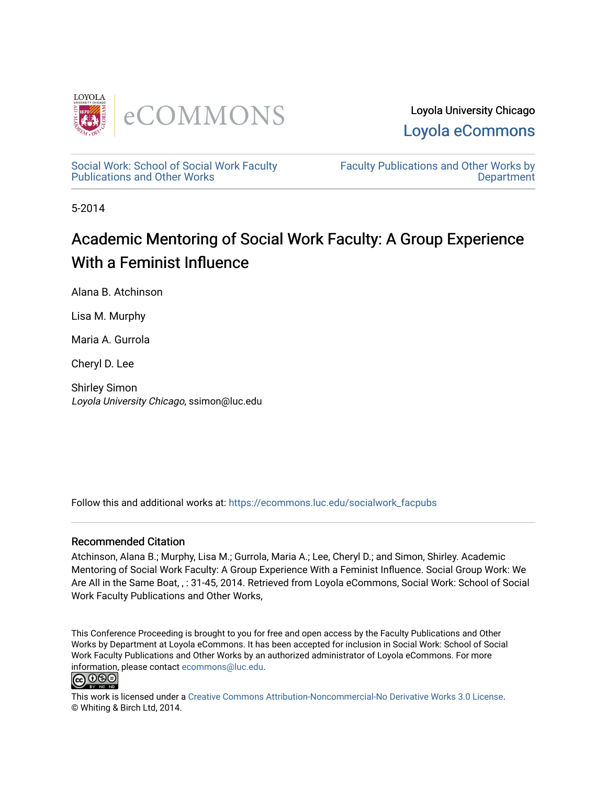

Loyola University Chicago [Loyola eCommons](https://ecommons.luc.edu/) 

[Social Work: School of Social Work Faculty](https://ecommons.luc.edu/socialwork_facpubs)  [Publications and Other Works](https://ecommons.luc.edu/socialwork_facpubs) 

[Faculty Publications and Other Works by](https://ecommons.luc.edu/faculty)  **Department** 

5-2014

# Academic Mentoring of Social Work Faculty: A Group Experience With a Feminist Influence

Alana B. Atchinson

Lisa M. Murphy

Maria A. Gurrola

Cheryl D. Lee

Shirley Simon Loyola University Chicago, ssimon@luc.edu

Follow this and additional works at: [https://ecommons.luc.edu/socialwork\\_facpubs](https://ecommons.luc.edu/socialwork_facpubs?utm_source=ecommons.luc.edu%2Fsocialwork_facpubs%2F46&utm_medium=PDF&utm_campaign=PDFCoverPages) 

#### Recommended Citation

Atchinson, Alana B.; Murphy, Lisa M.; Gurrola, Maria A.; Lee, Cheryl D.; and Simon, Shirley. Academic Mentoring of Social Work Faculty: A Group Experience With a Feminist Influence. Social Group Work: We Are All in the Same Boat, , : 31-45, 2014. Retrieved from Loyola eCommons, Social Work: School of Social Work Faculty Publications and Other Works,

This Conference Proceeding is brought to you for free and open access by the Faculty Publications and Other Works by Department at Loyola eCommons. It has been accepted for inclusion in Social Work: School of Social Work Faculty Publications and Other Works by an authorized administrator of Loyola eCommons. For more information, please contact [ecommons@luc.edu.](mailto:ecommons@luc.edu)



This work is licensed under a [Creative Commons Attribution-Noncommercial-No Derivative Works 3.0 License.](https://creativecommons.org/licenses/by-nc-nd/3.0/) © Whiting & Birch Ltd, 2014.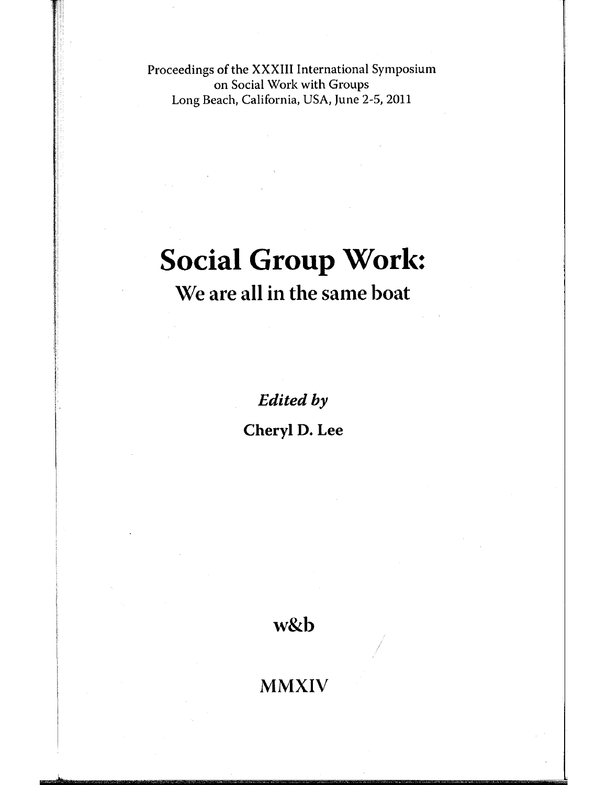Proceedings of the XXXIII International Symposium on Social Work with Groups Long Beach, California, USA, June 2-5, 2011

# **Social Group Worl\::**

# **We are all in the same boat**

*Edited* **by** 

**Cheryl D. Lee** 

**w&b** 

**MMXIV**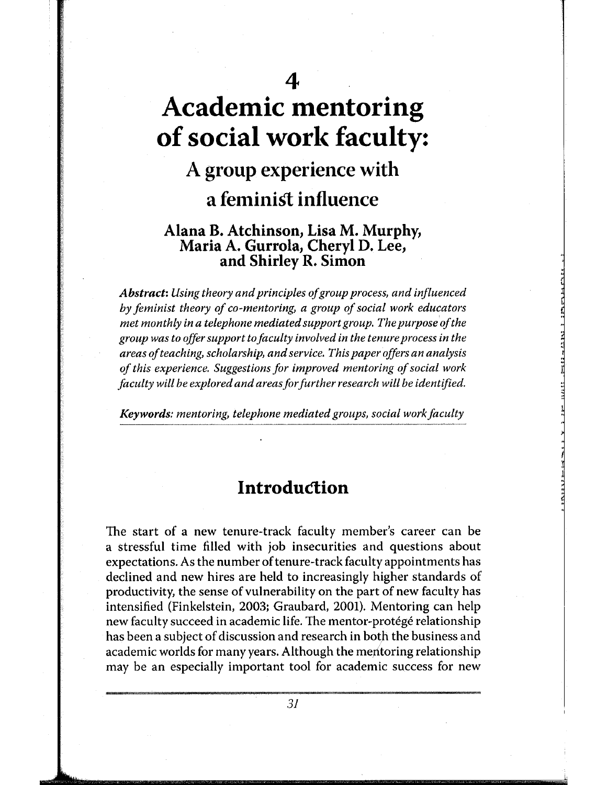# **4 Academic mentoring of social work faculty:**

# **A group experience with a feminist influence**

#### **Alana B. Atchinson, Lisa M. Murphy, Maria A. Gurrola, Cheryl D. Lee, and Shirley R. Simon**

*Abstract: Using theory and principles of group process, and influenced by feminist theory of co-mentoring, a group of social work educators met monthly in a telephone mediated support group. The purpose of the group was to offer support to faculty involved in the tenure process in the areas of teaching, scholarship, and service. This paper offers an analysis of this experience. Suggestions for improved mentoring of social work faculty will be explored and areas for further research will be identified.* 

*Keywords: mentoring, telephone mediated groups, social work faculty* 

# **Introduction**

The start of a new tenure-track faculty member's career can be a stressful time filled with job insecurities and questions about expectations. As the number of tenure-track faculty appointments has declined and new hires are held to increasingly higher standards of productivity, the sense of vulnerability on the part of new faculty has intensified (Finkelstein, 2003; Graubard, 2001). Mentoring can help new faculty succeed in academic life. The mentor-protégé relationship has been a subject of discussion and research in both the business and academic worlds for many years. Although the meritoring relationship may be an especially important tool for academic success for new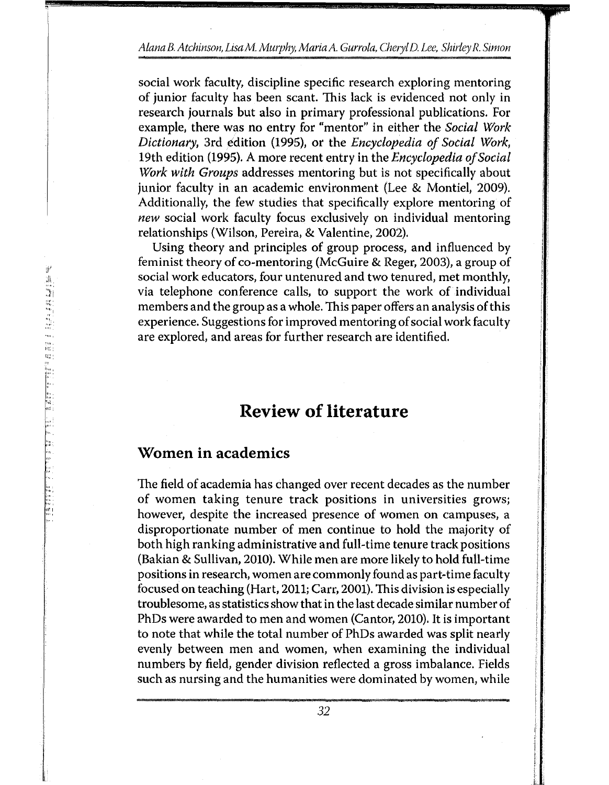#### *Alana B. Atchinson, LisaM. Murphy, Maria* A. *Gurrola, Cheryl D. Lee, Shirley R. Simon*

social work faculty, discipline specific research exploring mentoring of junior faculty has been scant. This lack is evidenced not only in research journals but also in primary professional publications. For example, there was no entry for "mentor" in either the *Social Work Dictionary,* 3rd edition (1995), or the *Encyclopedia of Social Work,*  19th edition (1995). A more recent entry in the *Encyclopedia of Social Work with Groups* addresses mentoring but is not specifically about junior faculty in an academic environment (Lee & Montiel, 2009). Additionally, the few studies that specifically explore mentoring of *new* social work faculty focus exclusively on individual mentoring relationships (Wilson, Pereira, & Valentine, 2002).

Using theory and principles of group process, and influenced by feminist theory of co-mentoring (McGuire & Reger, 2003), a group of social work educators, four untenured and two tenured, met monthly, via telephone conference calls, to support the work of individual members and the group as a whole. This paper offers an analysis of this experience. Suggestions for improved mentoring of social work faculty are explored, and areas for further research are identified.

### **Review of literature**

#### **Women in academics**

The field of academia has changed over recent decades as the number of women taking tenure track positions in universities grows; however, despite the increased presence of women on campuses, a disproportionate number of men continue to hold the majority of both high ranking administrative and full-time tenure track positions (Bakian & Sullivan, 2010). While men are more likely to hold full-time positions in research, women are commonly found as part-time faculty focused on teaching (Hart, 2011; Carr, 2001). This division is especially troublesome, as statistics show that in the last decade similar number of PhDs were awarded to men and women (Cantor, 2010). It is important to note that while the total number of PhDs awarded was split nearly evenly between men and women, when examining the individual numbers by field, gender division reflected a gross imbalance. Fields such as nursing and the humanities were dominated by women, while

,,,,I

 $\mathbb{S}^d$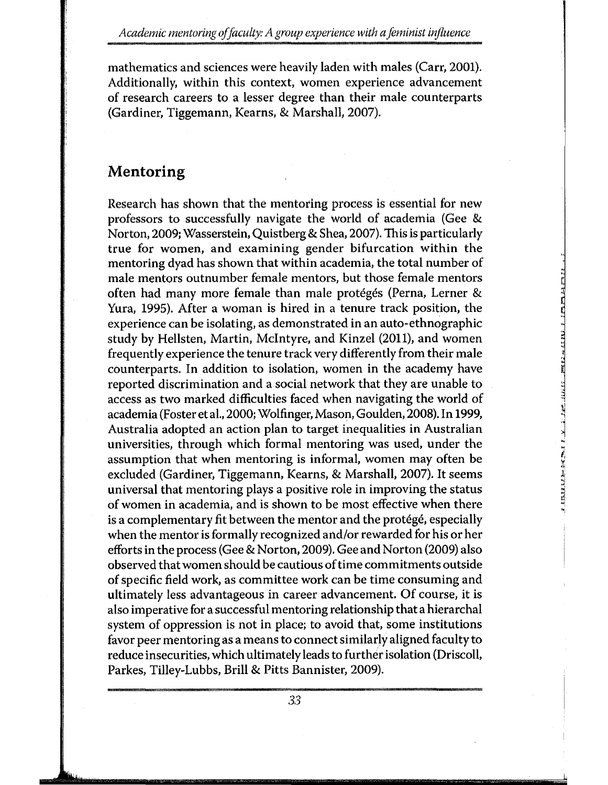mathematics and sciences were heavily laden with males (Carr, 2001). Additionally, within this context, women experience advancement of research careers to a lesser degree than their male counterparts (Gardiner, Tiggemann, Kearns, & Marshall, 2007).

### **Mento ring**

Research has shown that the mentoring process is essential for new professors to successfully navigate the world of academia (Gee &. Norton, 2009; Wasserstein, Quistberg &. Shea, 2007). This is particularly true for women, and examining gender bifurcation within the mentoring dyad has shown that within academia, the total number of male mentors outnumber female mentors, but those female mentors often had many more female than male protégés (Perna, Lerner & Yura, 1995). After a woman is hired in a tenure track position, the experience can be isolating, as demonstrated in an auto-ethnographic study by Hellsten, Martin, Mcintyre, and Kinzel (2011), and women frequently experience the tenure track very differently from their male counterparts. In addition to isolation, women in the academy have reported discrimination and a social network that they are unable to access as two marked difficulties faced when navigating the world of academia (Foster et al., 2000; Wolfinger, Mason, Goulden, 2008). In 1999, Australia adopted an action plan to target inequalities in Australian universities, through which formal mentoring was used, under the assumption that when mentoring is informal, women may often be excluded (Gardiner, Tiggemann, Kearns, & Marshall, 2007). It seems universal that mentoring plays a positive role in improving the status of women in academia, and is shown to be most effective when there is a complementary fit between the mentor and the protégé, especially when the mentor is formally recognized and/or rewarded for his or her efforts in the process (Gee & Norton, 2009). Gee and Norton (2009) also observed that women should be cautious of time commitments outside of specific field work, as committee work can be time consuming and ultimately less advantageous in career advancement. Of course, it is also imperative for a successful mentoring relationship that a hierarchal system of oppression is not in place; to avoid that, some institutions favor peer mentoring as a means to connect similarly aligned faculty to reduce insecurities, which ultimately leads to further isolation (Driscoll, Parkes, Tilley-Lubbs, Brill & Pitts Bannister, 2009).

**RESULTED AS A REAL PROPERTY OF A STATE OF A REAL PROPERTY**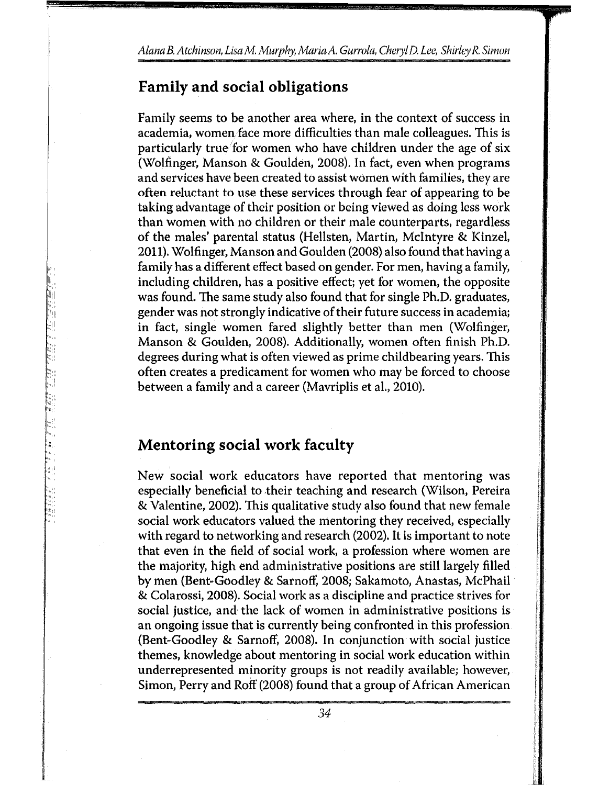#### **Family and social obligations**

Family seems to be another area where, in the context of success in academia, women face more difficulties than male colleagues. This is particularly true 'for women who have children under the age of six (Wolfinger, Manson & Goulden, 2008). In fact, even when programs and services have been created to assist women with families, they are often reluctant to use these services through fear of appearing to be taking advantage of their position or being viewed as doing less work than women with no children or their male counterparts, regardless of the males' parental status (Hellsten, Martin, Mcintyre & Kinzel, 2011). Wolfinger, Manson and Goulden (2008) also found that having a family has a different effect based on gender. For men, having a family, including children, has a positive effect; yet for women, the opposite was found. The same study also found that for single Ph.D. graduates, gender was not strongly indicative of their future success in academia; in fact, single women fared slightly better than men (Wolfinger, Manson & Goulden, 2008). Additionally, women often finish Ph.D. degrees during what is often viewed as prime childbearing years. This often creates a predicament for women who may be forced to choose between a family and a career (Mavriplis et al., 2010).

#### **Mentoring social work faculty**

New social work educators have reported that mentoring was especially beneficial to their teaching and research (Wilson, Pereira & Valentine, 2002). This qualitative study also found that new female social work educators valued the mentoring they received, especially with regard to networking and research (2002). It is important to note that even in the field of social work, a profession where women are the majority, high end administrative positions are still largely filled by men (Bent-Goodley & Sarnoff, 2008; Sakamoto, Anastas, McPhail & Colarossi, 2008). Social work as a discipline and practice strives for social justice, and· the lack of women in administrative positions is an ongoing issue that is currently being confronted in this profession (Bent-Goodley & Sarnoff, 2008). In conjunction with social justice themes, knowledge about mentoring in social work education within underrepresented minority groups is not readily available; however, Simon, Perry and Roff (2008) found that a group of African American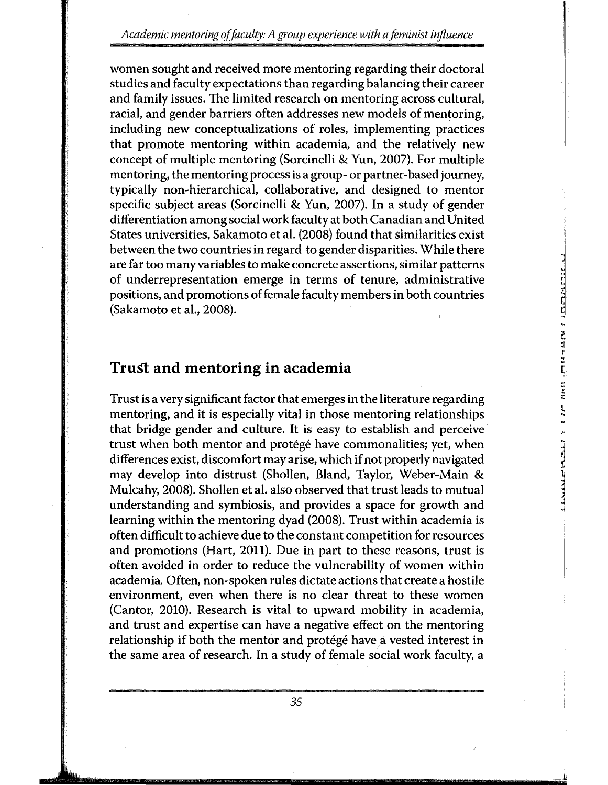*Academic men to ring of faculty: A group experience with a feminist influence* 

women sought and received more mentoring regarding their doctoral studies and faculty expectations than regarding balancing their career and family issues. The limited research on mentoring across cultural, racial, and gender barriers often addresses new models of mentoring, including new conceptualizations of roles, implementing practices that promote mentoring within academia, and the relatively new concept of multiple mentoring (Sorcinelli & Yun, 2007). For multiple mentoring, the mentoring process is a group- or partner-based journey, typically non-hierarchical, collaborative, and designed to mentor specific subject areas (Sorcinelli & Yun, 2007). In a study of gender differentiation among social work faculty at both Canadian and United States universities, Sakamoto et al. (2008) found that similarities exist between the two countries in regard to gender disparities. While there are far too many variables to make concrete assertions, similar patterns of underrepresentation emerge in terms of tenure, administrative positions, and promotions of female faculty members in both countries (Sakamoto et al., 2008).

#### **Trust and mentoring in academia**

Trust is a very significant factor that emerges in the literature regarding mentoring, and it is especially vital in those mentoring relationships that bridge gender and culture. It is easy to establish and perceive trust when both mentor and protégé have commonalities; yet, when differences exist, discomfort may arise, which if not properly navigated may develop into distrust (Shollen, Bland, Taylor, Weber-Main & Mulcahy, 2008). Shollen et al. also observed that trust leads to mutual understanding and symbiosis, and provides a space for growth and learning within the mentoring dyad (2008). Trust within academia is often difficult to achieve due to the constant competition for resources and promotions (Hart, 2011). Due in part to these reasons, trust is often avoided in order to reduce the vulnerability of women within academia. Often, non-spoken rules dictate actions that create a hostile environment, even when there is no clear threat to these women (Cantor, 2010). Research is vital to upward mobility in academia, and trust and expertise can have a negative effect on the mentoring relationship if both the mentor and protégé have a vested interest in the same area of research. In a study of female social work faculty, a

.لهل

**TRIPALE I NEWS DISTRICT OF A REAL PROPERTY**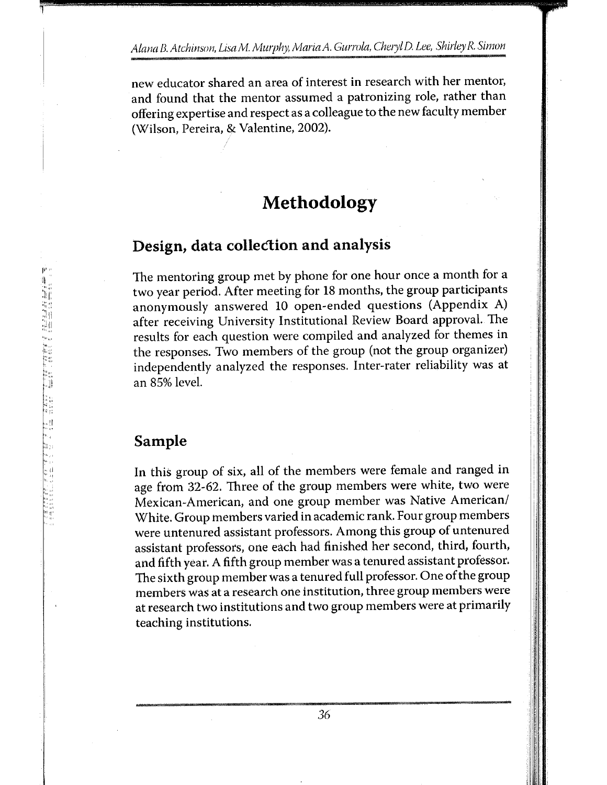new educator shared an area of interest in research with her mentor, and found that the mentor assumed a patronizing role, rather than offering expertise and respect as a colleague to the new faculty member (Wilson, Pereira, & Valentine, 2002).

# **Methodology**

# **Design, data collection and analysis**

The mentoring group met by phone for one hour once a month for a two year period. After meeting for 18 months, the group participants anonymously answered 10 open-ended questions (Appendix A) after receiving University Institutional Review Board approval. The results for each question were compiled and analyzed for themes in the responses. Two members of the group (not the group organizer) independently analyzed the responses. Inter-rater reliability was at an 85% level.

#### **Sample**

In this group of six, all of the members were female and ranged in age from 32-62. Three of the group members were white, two were Mexican-American, and one group member was Native American/ White. Group members varied in academic rank. Four group members were untenured assistant professors. Among this group of untenured assistant professors, one each had finished her second, third, fourth, and fifth year. A fifth group member was a tenured assistant professor. The sixth group member was a tenured full professor. One of the group members was at a research one institution, three group members were at research two institutions and two group members were at primarily teaching institutions.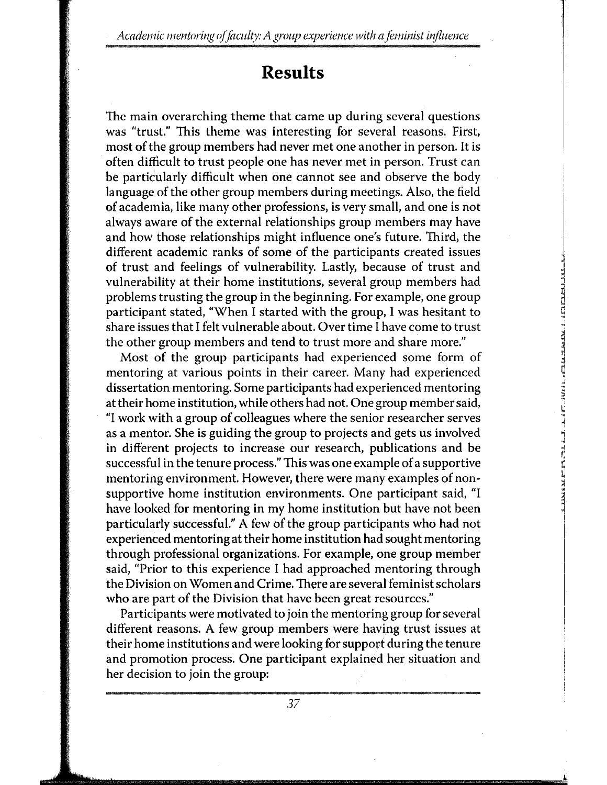*Academic mentoring of faculty: A group experience with a feminist influence* 

### **Results**

The main overarching theme that came up during several questions was "trust." This theme was interesting for several reasons. First, most of the group members had never met one another in person. It is often difficult to trust people one has never met in person. Trust can be particularly difficult when one cannot see and observe the body language of the other group members during meetings. Also, the field of academia, like many other professions, is very small, and one is not always aware of the external relationships group members may have and how those relationships might influence one's future. Third, the different academic ranks of some of the participants created issues of trust and feelings of vulnerability. Lastly, because of trust and vulnerability at their home institutions, several group members had problems trusting the group in the beginning. For example, one group participant stated, "When I started with the group, I was hesitant to share issues that I felt vulnerable about. Over time I have come to trust the other group members and tend to trust more and share more."

Most of the group participants had experienced some form of mentoring at various points in their career. Many had experienced dissertation mentoring. Some participants had experienced mentoring at their home institution, while others had not. One group member said, "I work with a group of colleagues where the senior researcher serves as a mentor. She is guiding the group to projects and gets us involved in different projects to increase our research, publications and be successful in the tenure process." This was one example of a supportive mentoring environment. However, there were many examples of nonsupportive home institution environments. One participant said, "I have looked for mentoring in my home institution but have not been particularly successful." A few of the group participants who had not experienced mentoring at their home institution had sought mentoring through professional organizations. For example, one group member said, "Prior to this experience I had approached mentoring through the Division on Women and Crime. There are several feminist scholars who are part of the Division that have been great resources."

L .,

Participants were motivated to join the mentoring group for several different reasons. A few group members were having trust issues at their home institutions and were looking for support during the tenure and promotion process. One participant explained her situation and her decision to join the group: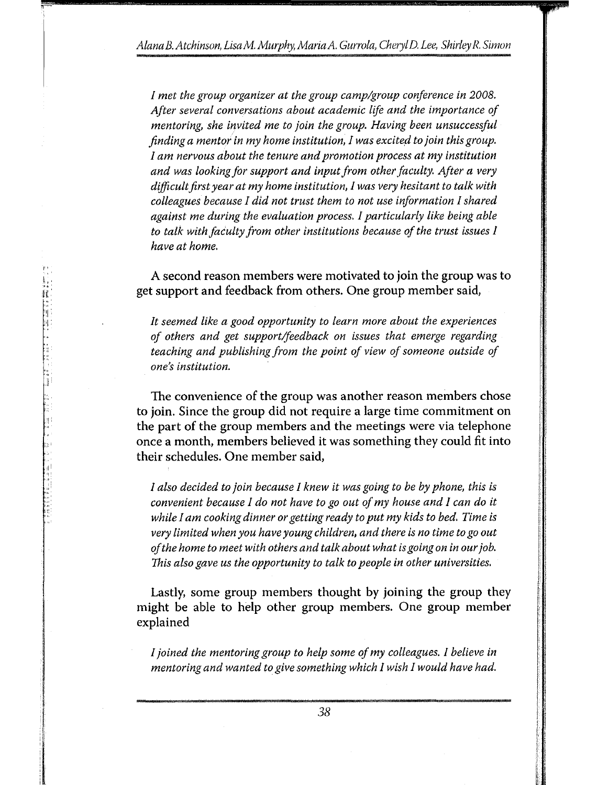*I met the group organizer at the group camp/group conference in 2008. After several conversations about academic life and the importance of mentoring, she invited me to join the group. Having been unsuccessful finding a mentor in my home institution, I was excited to join this group. I am nervous about the tenure and promotion process at my institution and was looking for support and input from other faculty. After a very difficult first year at my home institution, I was very hesitant to talk with colleagues because I did not trust them to not use information I shared against me during the evaluation process. I particularly like being able to talk with faculty from other institutions because of the trust issues I have at home.* 

A second reason members were motivated to join the group was to get support and feedback from others. One group member said,

in the company of the company of the company of the company of the company of the company of the company of the company of the company of the company of the company of the company of the company of the company of the compa

**International Control**<br>International Control<br>International Control

**I** 

In the following state of the contract of the contract of the contract of the contract of the contract of the contract of the contract of the contract of the contract of the contract of the contract of the contract of the !

I i<br>Indonesia<br>Indonesia

I I i i:'! II 1':! I I

''II: <II:

a shi a ta 1980 a ta 1980 a ta 1980 a ta 1980 a ta 1980 a ta 1980 a ta 1980 a ta 1980 a ta 1980 a ta 1980 a ta

*It seemed like a good opportunity to learn more about the experiences of others and get support/feedback on issues that emerge regarding teaching and publishing from the point of view of someone outside of one's institution.* 

The convenience of the group was another reason members chose to join. Since the group did not require a large time commitment on the part of the group members and the meetings were via telephone once a month, members believed it was something they could fit into their schedules. One member said,

*I also decided to join because I knew it was going to be by phone, this is convenient because I do not have to go out of my house and I can do* it *while I am cooking dinner or getting ready to put my kids to bed. Time is very limited when you have young children, and there is no time to go out of the home to meet with others and talk about what is going on in our job. This also gave us the opportunity to talk to people in other universities.* 

Lastly, some group members thought by joining the group they might be able to help other group members. One group member explained

*I joined the mentoring group to help some of my colleagues. I believe in mentoring and wanted to give something which I wish I would have had.*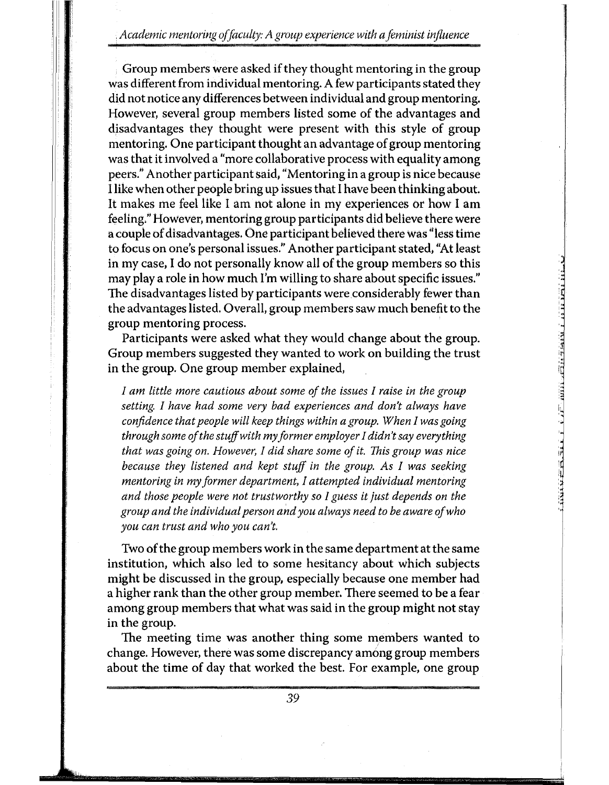*Academic men taring of faculty: A group experience with a feminist influence* 

Group members were asked if they thought mentoring in the group was different from individual mentoring. A few participants stated they did not notice any differences between individual and group mentoring. However, several group members listed some of the advantages and disadvantages they thought were present with this style of group mentoring. One participant thought an advantage of group mentoring was that it involved a "more collaborative process with equality among peers." Another participant said, "Mentoring in a group is nice because llike when other people bring up issues that I have been thinking about. It makes me feel like 1 am not alone in my experiences or how 1 am feeling." However, mentoring group participants did believe there were a couple of disadvantages. One participant believed there was "less time to focus on one's personal issues." Another participant stated, "At least in my case, I do not personally know all of the group members so this may play a role in how much I'm willing to share about specific issues." The disadvantages listed by participants were considerably fewer than the advantages listed. Overall, group members saw much benefit to the group mentoring process.

Participants were asked what they would change about the group. Group members suggested they wanted to work on building the trust in the group. One group member explained,

'•

*I am little more cautious about some of the issues I raise in the group setting. I have had some very bad experiences and don't always have confidence that people will keep things within a group. When I was going through some of the stuff with my former employer I didn't say everything that was going on. However, I did share some of it. This group was nice because they listened and kept stuff in the group. As I was seeking men to ring in my former department, I attempted individual men to ring and those people were not trustworthy so I guess it just depends on the group and the individual person and you always need to be aware of who you can trust and who you can't.* 

Two of the group members work in the same department at the same institution, which also led to some hesitancy about which subjects might be discussed in the group, especially because one member had a higher rank than the other group member. There seemed to be a fear among group members that what was said in the group might not stay in the group.

The meeting time was another thing some members wanted to change. However, there was some discrepancy am6ng group members about the time of day that worked the best. For example, one group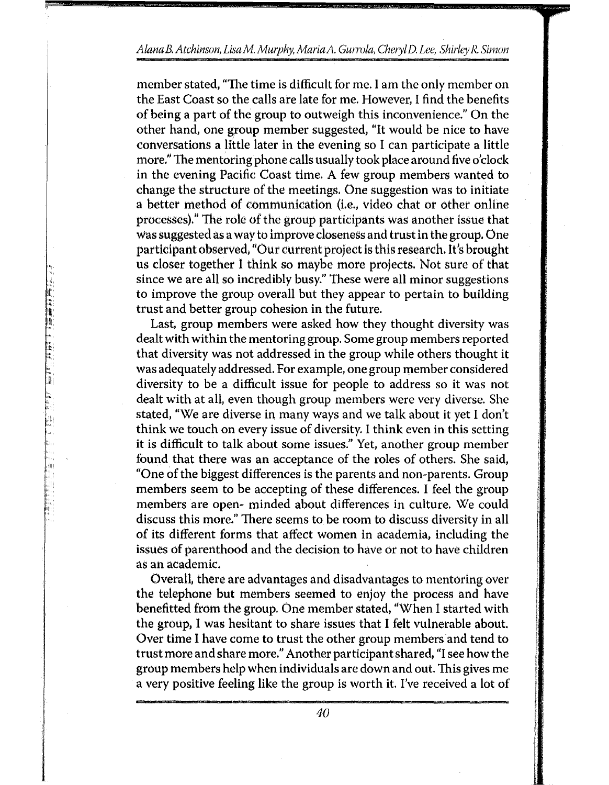#### *Alana B. Atchinson, LisaM. Murphy, Maria* A. *Gurrola, Cheryl D. Lee, Shirley R. Simon*

member stated, "The time is difficult for me. I am the only member on the East Coast so the calls are late for me. However, I find the benefits of being a part of the group to outweigh this inconvenience." On the other hand, one group member suggested, "It would be nice to have conversations a little later in the evening so I can participate a little more." The mentoring phone calls usually took place around five o'clock in the evening Pacific Coast time. A few group members wanted to change the structure of the meetings. One suggestion was to initiate a better method of communication (i.e., video chat or other online processes)!' The role of the group participants was another issue that was suggested as a way to improve closeness and trust in the group. One participant observed, "Our current project is this research. It's brought us closer together 1 think so maybe more projects. Not sure of that since we are all so incredibly busy." These were all minor suggestions to improve the group overall but they appear to pertain to building trust and better group cohesion in the future.

**Bandar Call Andre** 

Last, group members were asked how they thought diversity was dealt with within the mentoring group. Some group members reported that diversity was not addressed in the group while others thought it was adequately addressed. For example, one group member considered diversity to be a difficult issue for people to address so it was not dealt with at all, even though group members were very diverse. She stated, "We are diverse in many ways and we talk about it yet I don't think we touch on every issue of diversity. I think even in this setting it is difficult to talk about some issues." Yet, another group member found that there was an acceptance of the roles of others. She said, "One of the biggest differences is the parents and non-parents. Group members seem to be accepting of these differences. I feel the group members are open- minded about differences in culture. We could discuss this more." There seems to be room to discuss diversity in all of its different forms that affect women in academia, including the issues of parenthood and the decision to have or not to have children as an academic.

Overall, there are advantages and disadvantages to mentoring over the telephone but members seemed to enjoy the process and have benefitted from the group. One member stated, "When I started with the group, I was hesitant to share issues that I felt vulnerable about. Over time 1 have come to trust the other group members and tend to trust more and share more." Another participant shared, "1 see how the group members help when individuals are down and out. This gives me a very positive feeling like the group is worth it. I've received a lot of

*40*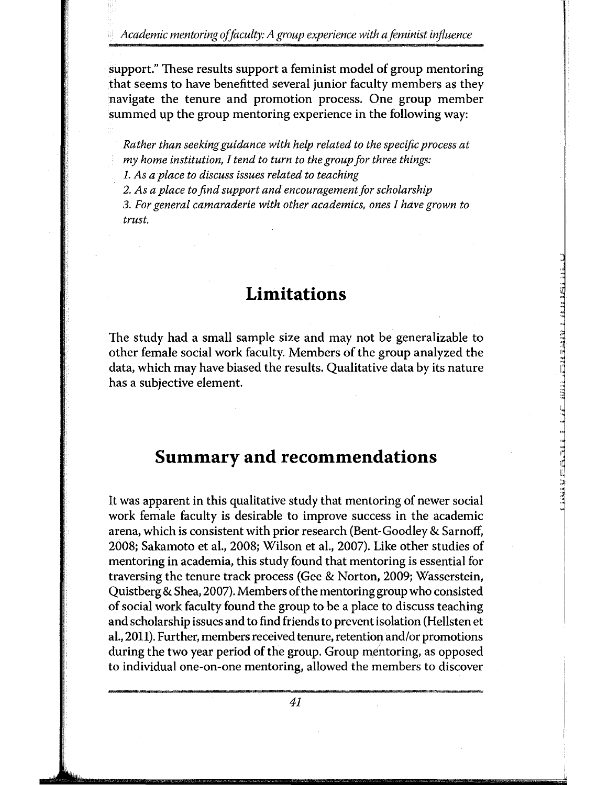*Academic mentoring of faculty: A group experience with a feminist influence* 

support." These results support a feminist model of group mentoring that seems to have benefitted several junior faculty members as they navigate the tenure and promotion process. One group member summed up the group mentoring experience in the following way:

*Rather than seeking guidance with help related to the specific process at my home institution, I tend to turn to the group for three things:* 

*1. As a place to discuss issues related to teaching* 

*2. As a place to find support and encouragement for scholarship* 

*3. For general camaraderie with other academics, ones I have grown to trust.* 

# **Limitations**

The study had a small sample size and may not be generalizable to other female social work faculty. Members of the group analyzed the data, which may have biased the results. Qualitative data by its nature has a subjective element.

 $\frac{1}{2}$ 

I"

# **Summary and recommendations**

It was apparent in this qualitative study that mentoring of newer social work female faculty is desirable to improve success in the academic arena, which is consistent with prior research (Bent-Goodley & Sarnoff, 2008; Sakamoto et al., 2008; Wilson et al., 2007). Like other studies of mentoring in academia, this study found that mentoring is essential for traversing the tenure track process (Gee & Norton, 2009; Wasserstein, Quist berg & Shea, 2007). Members of the mentoring group who consisted of social work faculty found the group to be a place to discuss teaching and scholarship issues and to find friends to prevent isolation (Hellsten et al., 2011). Further, members received tenure, retention and/or promotions during the two year period of the group. Group mentoring, as opposed to individual one-on-one mentoring, allowed the members to discover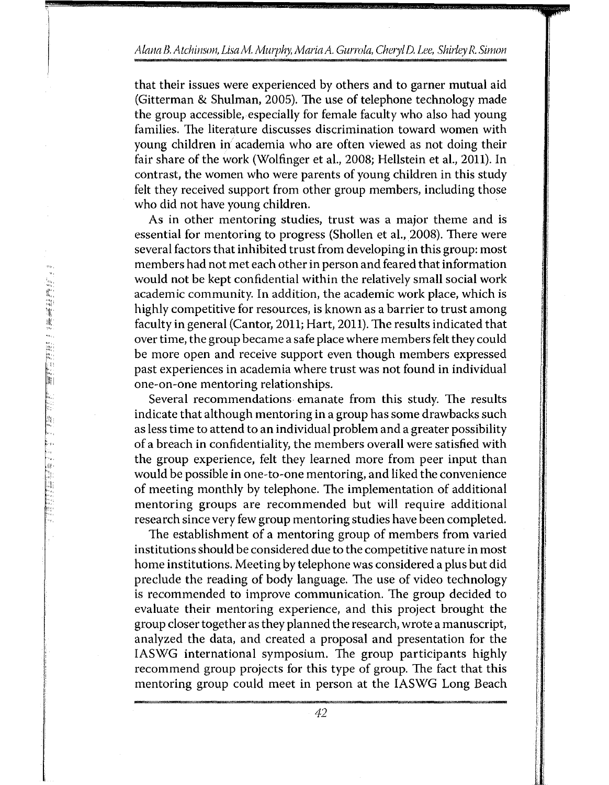#### *Alana B. Atchinson, LisaM. Mwphy, Maria* A. *Gurrola, Cheryl D. Lee, Shirley R. Simon*

that their issues were experienced by others and to garner mutual aid (Gitterman & Shulman, 2005). The use of telephone technology made the group accessible, especially for female faculty who also had young families. The literature discusses discrimination toward women with young children in academia who are often viewed as not doing their fair share of the work (Wolfinger et al., 2008; Hellstein et al., 2011). In contrast, the women who were parents of young children in this study felt they received support from other group members, including those who did not have young children.

As in other mentoring studies, trust was a major theme and is essential for mentoring to progress (Shollen et al., 2008). There were several factors that inhibited trust from developing in this group: most members had not met each other in person and feared that information would not be kept confidential within the relatively small social work academic community. In addition, the academic work place, which is highly competitive for resources, is known as a barrier to trust among faculty in general (Cantor, 2011; Hart, 2011). The results indicated that over time, the group became a safe place where members felt they could be more open and receive support even though members expressed past experiences in academia where trust was not found in individual one-on-one mentoring relationships.

Several recommendations emanate from this study. The results indicate that although mentoring in a group has some drawbacks such as less time to attend to an individual problem and a greater possibility of a breach in confidentiality, the members overall were satisfied with the group experience, felt they learned more from peer input than would be possible in one-to-one mentoring, and liked the convenience of meeting monthly by telephone. The implementation of additional mentoring groups are recommended but will require additional research since very few group mentoring studies have been completed.

The establishment of a mentoring group of members from varied institutions should be considered due to the competitive nature in most home institutions. Meeting by telephone was considered a plus but did preclude the reading of body language. The use of video technology is recommended to improve communication. The group decided to evaluate their mentoring experience, and this project brought the group closer together as they planned the research, wrote a manuscript, analyzed the data, and created a proposal and presentation for the IASWG international symposium. The group participants highly recommend group projects for this type of group. The fact that this mentoring group could meet in person at the IASWG Long Beach

่ |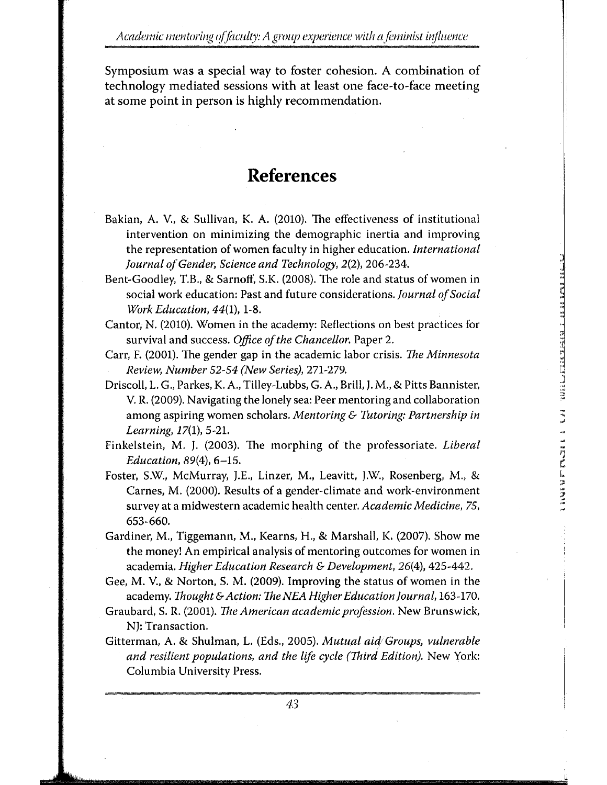Symposium was a special way to foster cohesion. A combination of technology mediated sessions with at least one face-to-face meeting at some point in person is highly recommendation.

# **References**

- Bakian, A. V., & Sullivan, K. A. {2010). The effectiveness of institutional intervention on minimizing the demographic inertia and improving the representation of women faculty in higher education. *International Journal of Gender, Science and Technology,* 2(2), 206-234.
- Bent-Goodley, T.B., & Sarnoff, S.K. (2008). The role and status of women in social work education: Past and future considerations. *Journal of Social Work Education,* 44(1), 1-8.

, . ..

<u>. . .</u><br>أ

.. 1·'1 r. '

1.. .. •' .•  $\frac{1}{\sqrt{2}}$  .

- Cantor; N. (2010). Women in the academy: Reflections on best practices for survival and success. *Office of the Chancellor.* Paper 2.
- Carr, F. {2001). The gender gap in the academic labor crisis. *The Minnesota Review, Number* 52-54 *(New Series),* 271-279.
- Driscoll, L. G., Parkes, K. A., Tilley-Lubbs, G. A., Brill, J. M., & Pitts Bannister, V. R. {2009). Navigating the lonely sea: Peer mentoring and collaboration among aspiring women scholars. *Mentoring* & *Tutoring: Partnership in Learning,* 17(1), 5-21.
- Finkelstein, M. J. (2003). The morphing of the professoriate. *Liberal Education,* 89{4), 6-15.
- Foster, S.W., McMurray, J.E., Linzer, M., Leavitt, J.W., Rosenberg, M., & Carnes, M. (2000). Results of a gender-climate and work-environment survey at a midwestern academic health center. *Academic Medicine, 75,*  653-660.
- Gardiner, M., Tiggemann, M., Kearns, H., & Marshall, K. (2007). Show me the money! An empirical analysis of mentoring outcomes for women in academia. *Higher Education Research* & *Development,* 26(4), 425-442.
- Gee, M. V., & Norton, S. M. (2009). Improving the status of women in the academy. *Thought* & *Action: The NEA Higher Education Journal,* 163-170.
- Graubard, S. R. (2001). *The American academic profession.* New Brunswick, NJ: Transaction.
- Gitter man, A. & Shulman, L. (Eds., 2005). *Mutual aid*1 *Groups, vulnerable and resilient populations, and the life cycle (Third Edition).* New York: Columbia University Press.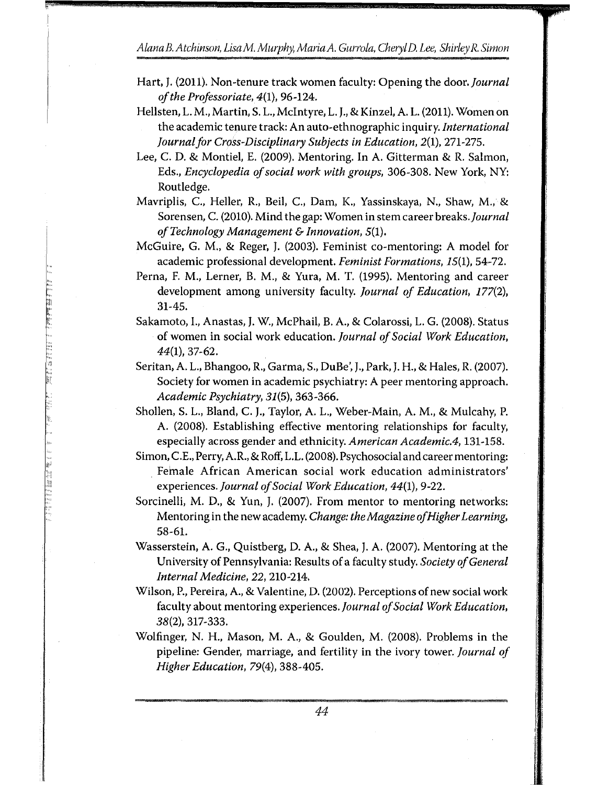*Alana B. Atchinson, LisaM. Murphy, Maria A. Gurrola, Cheryl D. Lee, Shirley R. Simon* 

1'1"'"-

**Company of the Property** 

**The Contract of the Contract of the Contract of the Contract of the Contract of the Contract of the Contract of The Contract of The Contract of The Contract of The Contract of The Contract of The Contract of The Contract** 

i<br>Biblio an<br>Pa

1999年第19月

- Hart,]. (2011). Non-tenure track women faculty: Opening the door. *journal of the Professoriate,* 4{1), 96-124.
- Hellsten, L. M., Martin, S. L., McIntyre, L. J., & Kinzel, A. L. (2011). Women on the academic tenure track: An auto-ethnographic inquiry. *International journal for Cross-Disciplinary Subjects in Education,* 2(1), 271-275.
- Lee, C. D. & Montiel, E. (2009). Mentoring. In A. Gitterman & R. Salmon, Eds., *Encyclopedia of social work with groups,* 306-308. New York, NY: Routledge.
- Mavriplis, C., Heller, R., Beil, C., Dam, K., Yassinskaya, N., Shaw, M., & Sorensen, C. (2010). Mind the gap: Women in stem career *breaks.journal of Technology Management* & *Innovation,* 5(1).
- McGuire, G. M., & Reger, J. (2003). Feminist co-mentoring: A model for academic professional development. *Feminist Formations,* 15(1), 54-72.
- Perna, F. M., Lerner, B. M., & Yura, M. T. (1995). Mentoring and career development among university faculty. *journal of Education,* 177(2), 31-45.
- Sakamoto, I., Anastas, J, W., McPhail, B. A., & Colarossi, L. G. (2008). Status of women in social work education. *journal of Social Work Education, 44(1),* 37-62.
- Seritan, A. L., Bhangoo, R., Garma, S., DuBe', J., Park, J. H., & Hales, R. (2007). Society for women in academic psychiatry: A peer mentoring approach. *Academic Psychiatry, 31(5),* 363-366.
- Shollen, S. L., Bland, C. J., Taylor, A. L., Weber-Main, A.M., & Mulcahy, P. A. (2008). Establishing effective mentoring relationships for faculty, especially across gender and ethnicity. *American Academic.4,* 131-158.
- Simon, C.£., Perry, A.R., & Rotf, L.L. (2008). Psychosocial and career mentoring: Female African American social work education administrators' experiences. *journal of Social Work Education, 44(1),* 9-22.
- Sorcinelli, M. D., & Yun, J. (2007). From mentor to mentoring networks: Mentoring in the new academy. *Change: the Magazine of Higher Learning*, 58-61.
- Wasserstein, A. G., Quistberg, D. A., & Shea, J. A. (2007). Mentoring at the University of Pennsylvania: Results of a faculty study. *Society of General Internal Medicine, 22,* 210-214.
- Wilson, P., Pereira, A., & Valentine, D. (2002). Perceptions of new social work faculty about mentoring experiences. *journal of Social Work Education,*  38(2), 317-333.
- Wolfinger, N. H., Mason, M. A., & Goulden, M. (2008). Problems in the pipeline: Gender, marriage, and fertility in the ivory tower. *Journal of Higher Education,* 79(4), 388-405.

*44*